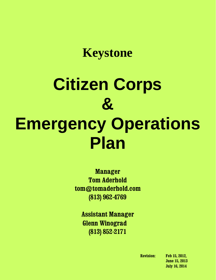# **Citizen Corps & Emergency Operations Plan**

**Manager Tom Aderhold tom@tomaderhold.com (813) 962-4769**

> **Assistant Manager Glenn Winograd (813) 852-2171**

**Revision: Feb 15, 2012, June 15, 2013 July 16, 2014**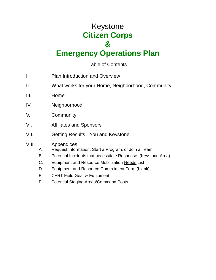# Keystone **Citizen Corps &**

# **Emergency Operations Plan**

# Table of Contents

- I. Plan Introduction and Overview
- II. What works for your Home, Neighborhood, Community
- III. Home
- IV. Neighborhood
- V. Community
- VI. Affiliates and Sponsors
- VII. Getting Results You and Keystone

## VIII. Appendices

- A. Request Information, Start a Program, or Join a Team
- B. Potential Incidents that necessitate Response (Keystone Area)
- C. Equipment and Resource Mobilization Needs List
- D. Equipment and Resource Commitment Form (blank)
- E. CERT Field Gear & Equipment
- F. Potential Staging Areas/Command Posts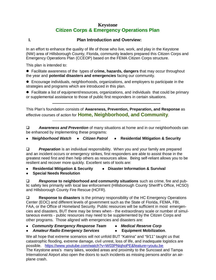#### **I. Plan Introduction and Overview:**

In an effort to enhance the quality of life of those who live, work, and play in the Keystone (NW) area of Hillsborough County, Florida, community leaders prepared this Citizen Corps and Emergency Operations Plan (CCEOP) based on the FEMA Citizen Corps structure.

This plan is intended to:

 Facilitate awareness of the types of **crime, hazards, dangers** that may occur throughout the year and **potential disasters and emergencies** facing our community.

 Encourage individuals, neighborhoods, organizations, and employers to participate in the strategies and programs which are introduced in this plan.

 Facilitate a list of equipment/resources, organizations, and individuals that could be primary or supplemental assistance to those of public first responders in certain situations.

This Plan's foundation consists of **Awareness, Prevention, Preparation, and Response** as effective courses of action for **Home, Neighborhood, and Community**.

 *Awareness and Prevention* of many situations at home and in our neighborhoods can be enhanced by implementing these programs:

#### *Neighborhood Watch Citizen Patrol* **Residential Mitigation & Security**

**Preparation** is an individual responsibility. When you and your family are prepared and an incident occurs or emergency strikes, first responders are able to assist those in the greatest need first and then help others as resources allow. Being self-reliant allows you to be resilient and recover more quickly. Excellent sets of tools are:

**Residential Mitigation & Security Disaster Information & Survival**

**Special Needs Resolution**

 *Response* **to neighborhood and community situations** such as crime, fire and public safety lies primarily with local law enforcement (Hillsborough County Sheriff's Office, HCSO) and Hillsborough County Fire Rescue (HCFR).

 **Response to disasters** is the primary responsibility of the HC Emergency Operations Center (EOC) and different levels of government such as the State of Florida, FEMA, FBI, FAA, or the Office of Homeland Security. Public resources will be sufficient in most emergencies and disasters, BUT there may be times when - the extraordinary scale or number of simultaneous events - public resources may need to be supplemented by the Citizen Corps and other programs. Those aligned with emergencies and disasters are:

- *Community Emergency Response Team Medical Reserve Corp*
- 
- **Amateur Radio Emergency Services Equipment Mobilization.** 
	-

We all hope that extreme scenarios will not unfold BUT "Katrina" and "9/11" taught us that catastrophic flooding, extreme damage, civil unrest, loss of life, and inadequate logistics are possible. https://www.youtube.com/watch?v=W03PNiqhoPE&feature=youtu.be The Keystone area's many lakes, wooded areas and proximity to the Suncoast and Tampa International Airport also open the doors to such incidents as missing persons and/or an airplane crash.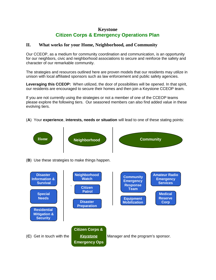#### **II. What works for your Home, Neighborhood, and Community**

Our CCEOP, as a medium for community coordination and communication, is an opportunity for our neighbors, civic and neighborhood associations to secure and reinforce the safety and character of our remarkable community.

The strategies and resources outlined here are proven models that our residents may utilize in unison with local affiliated sponsors such as law enforcement and public safety agencies.

**Leveraging this CCEOP:** When utilized, the door of possibilities will be opened. In that spirit, our residents are encouraged to secure their homes and then join a Keystone CCEOP team.

If you are not currently using the strategies or not a member of one of the CCEOP teams please explore the following tiers. Our seasoned members can also find added value in these evolving tiers.

#### (**A**) Your **experience**, **interests, needs or situation** will lead to one of these stating points:

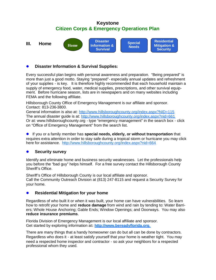

#### **Disaster Information & Survival Supplies:**

Every successful plan begins with personal awareness and preparation. "Being prepared" is more than just a good motto. Staying "prepared"- especially annual updates and refreshment of your supplies - is key. It is therefore highly recommended that each household maintain a supply of emergency food, water, medical supplies, prescriptions, and other survival equipment. Before hurricane season, lists are in newspapers and on many websites including FEMA and the following affiliate.

Hillsborough County Office of Emergency Management is our affiliate and sponsor. Contact: 813-236-3800.

General information is also at: http://www.hillsboroughcounty.org/index.aspx?NID=115 The annual disaster guide is at: http://www.hillsboroughcounty.org/index.aspx?nid=661 Or at: www.hillsboroughcounty.org - type "emergency management" in the search box - click on "Office of Emergency Management" from the search list.

 If you or a family member has **special needs, elderly, or without transportation** that requires extra attention in order to stay safe during a tropical storm or hurricane you may click here for assistance. http://www.hillsboroughcounty.org/index.aspx?nid=664

#### **Security survey**

Identify and eliminate home and business security weaknesses. Let the professionals help you before the "bad guy" helps himself. For a free survey contact the Hillsborough County Sheriff's Office.

Sheriff's Office of Hillsborough County is our local affiliate and sponsor. Call the Community Outreach Division at (813) 247-8115 and request a Security Survey for your home.

#### **• Residential Mitigation for your home**

Regardless of who built it or when it was built, your home can have vulnerabilities. So learn how to retrofit your home and **reduce damage** from wind and rain by tending to: Water Barriers; Whole House Anchoring; Gable Ends; Window Openings; and Doorways. You may also **reduce insurance premiums**.

Florida Division of Emergency Management is our local affiliate and sponsor. Get started by exploring information at**: http://www.bereadyflorida.org**.

There are many things that a handy homeowner can do but all can be done by contractors. Regardless who does it - at least satisfy yourself that your home is weather tight. You may need a respected home inspector and contractor - so ask your neighbors for a respected professional whom they used.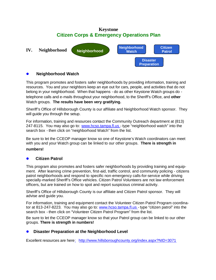

#### **Neighborhood Watch**

This program promotes and fosters safer neighborhoods by providing information, training and resources. You and your neighbors keep an eye out for cars, people, and activities that do not belong in your neighborhood. When that happens - do as other Keystone Watch groups do telephone calls and e-mails throughout your neighborhood, to the Sheriff's Office, and **other** Watch groups. **The results have been very gratifying.**

Sheriff's Office of Hillsborough County is our affiliate and Neighborhood Watch sponsor. They will guide you through the setup.

For information, training and resources contact the Community Outreach department at (813) 247-8115. You may also go to: www.hcso.tampa.fl.us - type "neighborhood watch" into the search box - then click on "neighborhood Watch" from the list.

Be sure to let the CCEOP manager know so one of Keystone's Watch coordinators can meet with you and your Watch group can be linked to our other groups. **There is strength in**

#### **numbers!**

#### **Citizen Patrol**

This program also promotes and fosters safer neighborhoods by providing training and equipment. After learning crime prevention, first-aid, traffic control, and community policing - citizens patrol neighborhoods and respond to specific non-emergency calls-for-service while driving specially-marked Sheriff's Office vehicles. Citizen Patrol Volunteers are not law enforcement officers, but are trained on how to spot and report suspicious criminal activity.

Sheriff's Office of Hillsborough County is our affiliate and Citizen Patrol sponsor. They will advise and guide you.

For information, training and equipment contact the Volunteer Citizen Patrol Program coordinator at 813-247-8223. You may also go to: www.hcso.tampa.fl.us - type "citizen patrol" into the search box - then click on "Volunteer Citizen Patrol Program" from the list.

Be sure to let the CCEOP manager know so that your Patrol group can be linked to our other groups. **There is strength in numbers!**

#### **• Disaster Preparation at the Neighborhood Level**

Excellent resources are here: http://www.hillsboroughcounty.org/index.aspx?NID=3071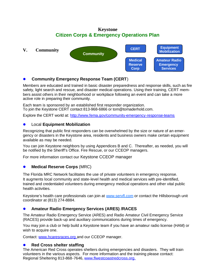

#### **Community Emergency Response Team (CERT**)

Members are educated and trained in basic disaster preparedness and response skills, such as fire safety, light search and rescue, and disaster medical operations. Using their training, CERT members assist others in their neighborhood or workplace following an event and can take a more active role in preparing their community.

Each team is sponsored by an established first responder organization. To join the Keystone CERT contact 813-968-6866 or tom@tomaderhold.com.

Explore the CERT world at: http://www.fema.gov/community-emergency-response-teams

#### Local **Equipment Mobilization**

Recognizing that public first responders can be overwhelmed by the size or nature of an emergency or disasters in the Keystone area, residents and business owners make certain equipment available as may be needed.

You can join Keystone neighbors by using Appendices B and C. Thereafter, as needed, you will be notified by the Sheriff's Office. Fire Rescue, or our CCEOP managers.

For more information contact our Keystone CCEOP manager

#### **Medical Reserve Corps** (MRC)

The Florida MRC Network facilitates the use of private volunteers in emergency response. It augments local community and state-level health and medical services with pre-identified, trained and credentialed volunteers during emergency medical operations and other vital public health activities.

Keystone's health care professionals can join at www.servfl.com or contact the Hillsborough unit coordinator at (813) 274-8884.

#### **Amateur Radio Emergency Services (ARES) /RACES**

The Amateur Radio Emergency Service (ARES) and Radio Amateur Civil Emergency Service (RACES) provide back-up and auxiliary communications during times of emergency.

You may join a club or help build a Keystone team if you have an amateur radio license (HAM) or wish to acquire one.

Contact: www.hcaresraces.org and our CCEOP manager.

#### **Red Cross shelter staffing**

The American Red Cross operates shelters during emergencies and disasters. They will train volunteers in the various aspects. For more information and the training please contact: Regional Sheltering 813-868-7646, www.flwestcoastredcross.org.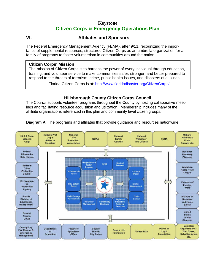# **VI. Affiliates and Sponsors**

The Federal Emergency Management Agency (FEMA), after 9/11, recognizing the importance of supplemental resources, structured Citizen Corps as an umbrella organization for a family of programs to foster volunteerism in communities around the nation.

#### **Citizen Corps' Mission**

The mission of Citizen Corps is to harness the power of every individual through education, training, and volunteer service to make communities safer, stronger, and better prepared to respond to the threats of terrorism, crime, public health issues, and disasters of all kinds.

Florida Citizen Corps is at: http://www.floridadisaster.org/CitizenCorps/

#### **Hillsborough County Citizen Corps Council**

The Council supports volunteer programs throughout the County by hosting collaborative meetings and facilitating resource acquisition and utilization. Membership includes many of the affiliate organizations referenced in this plan and community level citizen groups.

**Diagram A:** The programs and affiliates that provide guidance and resources nationwide

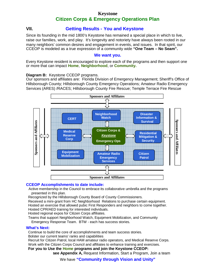#### **VII. Getting Results - You and Keystone**

Since its founding in the mid 1800's Keystone has remained a special place in which to live, raise our families, work, and play. It's longevity and notoriety have always been rooted in our many neighbors' common desires and engagement in events, and issues. In that spirit, our CCEOP is modeled as a true expression of a community wide **"One Team – No Seam".**

#### **We want you.**

Every Keystone resident is encouraged to explore each of the programs and then support one or more that can impact **Home**, **Neighborhood**, or **Community.**

#### **Diagram B:** Keystone CCEOP programs.

Our sponsors and affiliates are: Florida Division of Emergency Management; Sheriff's Office of Hillsborough County; Hillsborough County Emergency Operations; Amateur Radio Emergency Services (ARES) /RACES; Hillsborough County Fire Rescue; Temple Terrace Fire Rescue



#### **CCEOP Accomplishments to date include:**

Active membership in the Council to embrace its collaborative umbrella and the programs presented in this plan.

Recognized by the Hillsborough County Board of County Commissioners.

Received a mini-grant from HC Neighborhood Relations to purchase certain equipment. Hosted an exercise that allowed pubic First Responders and neighbors to come together. Hosted CPR/AED training for interested individuals.

Hosted regional expos for Citizen Corps affiliates.

Teams that support Neighborhood Watch, Equipment Mobilization, and Community Emergency Response Team. BTW - each has success stories.

#### **What's Next:**

Continue to build the core of accomplishments and team success stories.

Bolster our current teams' ranks and capabilities

Recruit for Citizen Patrol, local HAM amateur radio operators, and Medical Reserve Corps. Work with the Citizen Corps Council and affiliates to enhance training and exercises.

**For you to Use the Home programs and join the Keystone CCEOP:**

**see Appendix A,** Request Information, Start a Program, Join a team

We have **"Community through Vision and Unity"**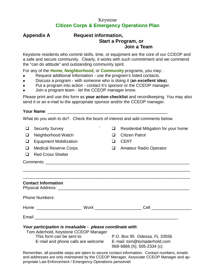#### **Appendix A Request information, Start a Program, or Join a Team**

Keystone residents who commit skills, time, or equipment are the core of our CCEOP and a safe and secure community. Clearly, it works with such commitment and we commend the "can do attitude" and outstanding community spirit.

For any of the **Home, Neighborhood**, or **Community** programs, you may: .

- Request additional Information use the program's listed contacts.
- Discuss a program with someone who is doing it (**an excellent idea**).
- Put a program into action contact it's sponsor or the CCEOP manager.
- Join a program team let the CCEOP manager know.

Please print and use this form as **your action checklist** and recordkeeping. You may also send it or an e-mail to the appropriate sponsor and/or the CCEOP manager.

#### **Your Name**: \_\_\_\_\_\_\_\_\_\_\_\_\_\_\_\_\_\_\_\_\_\_\_\_\_\_\_\_\_\_\_\_\_\_\_\_\_\_\_\_\_\_\_\_\_\_\_\_\_\_\_

What do you wish to do?. Check the box/s of interest and add comments below.

- $\Box$  Security Survey  $\Box$  Residential Mitigation for your home
- □ Neighborhood Watch □ Citizen Patrol
- □ Equipment Mobilization □ □ CERT
- □ Medical Reserve Corps Q Amateur Radio Operator
- □ Red Cross Shelter

Comments: \_\_\_\_\_\_\_\_\_\_\_\_\_\_\_\_\_\_\_\_\_\_\_\_\_\_\_\_\_\_\_\_\_\_\_\_\_\_\_\_\_\_\_\_\_\_\_\_\_\_\_\_\_\_\_\_\_\_\_\_\_

| <b>Contact Information</b>                                                                                                                                                                        |  |                                 |
|---------------------------------------------------------------------------------------------------------------------------------------------------------------------------------------------------|--|---------------------------------|
| <b>Phone Numbers:</b>                                                                                                                                                                             |  |                                 |
|                                                                                                                                                                                                   |  | <b>Cell Cell Cell Cell Cell</b> |
|                                                                                                                                                                                                   |  |                                 |
|                                                                                                                                                                                                   |  |                                 |
| Your participation is invaluable - please coordinate with:<br>Tom Aderhold, Keystone CCEOP Manager<br>This form can be sent to:<br>E-mail and phone calls are welcome E-mail: tom@tomaderhold.com |  | P.O. Box 95 Odessa, FL 33556    |

\_\_\_\_\_\_\_\_\_\_\_\_\_\_\_\_\_\_\_\_\_\_\_\_\_\_\_\_\_\_\_\_\_\_\_\_\_\_\_\_\_\_\_\_\_\_\_\_\_\_\_\_\_\_\_\_\_\_\_\_\_\_\_\_\_\_\_\_\_\_\_

968-6866 (h); 505-2334 (c)

Remember, all possible steps are taken to secure contact information. Contact numbers, emails and addresses are only maintained by the CCEOP Manager, Associate CCEOP Manager and appropriate Law Enforcement / Emergency Operations personnel.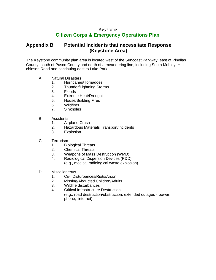# **Citizen Corps & Emergency Operations Plan**

# **Appendix B Potential Incidents that necessitate Response (Keystone Area)**

The Keystone community plan area is located west of the Suncoast Parkway, east of Pinellas County, south of Pasco County and north of a meandering line, including South Mobley, Hutchinson Road and continuing east to Lake Park.

- A. Natural Disasters
	- 1. Hurricanes/Tornadoes
	- 2. Thunder/Lightning Storms
	- 3. Floods
	- 4. Extreme Heat/Drought
	- 5. House/Building Fires
	- 6. Wildfires
	- 7. Sinkholes
- B. Accidents
	- 1. Airplane Crash
	- 2. Hazardous Materials Transport/Incidents
	- 3. Explosion
- C. Terrorism
	- 1. Biological Threats
	- 2. Chemical Threats
	- 3. Weapons of Mass Destruction (WMD)
	- 4. Radiological Dispersion Devices (RDD) (e.g., medical radiological waste explosion)
- D. Miscellaneous
	- 1. Civil Disturbances/Riots/Arson
	- 2. Missing/Abducted Children/Adults
	- 3. Wildlife disturbances
	- 4. Critical Infrastructure Destruction (e.g., road destruction/obstruction; extended outages - power, phone, internet)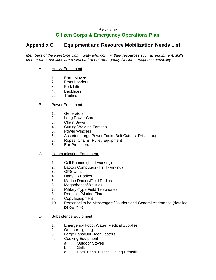# **Citizen Corps & Emergency Operations Plan**

# **Appendix C Equipment and Resource Mobilization Needs List**

*Members of the Keystone Community who commit their resources such as equipment, skills, time or other services are a vital part of our emergency / incident response capability.*

#### A. Heavy Equipment

- 1. Earth Movers
- 2. Front Loaders
- 3. Fork Lifts
- 4. Backhoes<br>5. Trailers
- **Trailers**

#### B. Power Equipment

- 1. Generators
- 2. Long Power Cords
- 3. Chain Saws
- 4. Cutting/Welding Torches
- 5. Power Winches
- 6. Assorted Large Power Tools (Bolt Cutters, Drills, etc.)
- 7. Ropes, Chains, Pulley Equipment
- 8. Ear Protectors

#### C. Communication Equipment

- 1. Cell Phones (if still working)
- 2. Laptop Computers (if still working)
- 3. GPS Units
- 4. Ham/CB Radios
- 5. Marine Radios/Field Radios
- 6. Megaphones/Whistles
- 7. Military-Type Field Telephones
- 8. Roadside/Marine Flares
- 9. Copy Equipment
- 10. Personnel to be Messengers/Couriers and General Assistance (detailed below in F)
- D. Subsistence Equipment
	- 1. Emergency Food, Water, Medical Supplies
	- 2. Outdoor Lighting
	- 3. Large Fans/Out Door Heaters
	- 4. Cooking Equipment
		- a. Outdoor Stoves
			- b. Grills
			- c. Pots, Pans, Dishes, Eating Utensils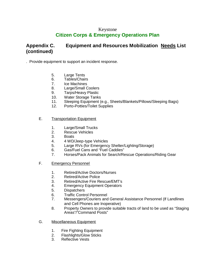# **Citizen Corps & Emergency Operations Plan**

# **Appendix C. Equipment and Resources Mobilization Needs List (continued)**

. Provide equipment to support an incident response.

- 5. Large Tents
- 6. Tables/Chairs
- 7. Ice Machines
- 8. Large/Small Coolers
- 9. Tarps/Heavy Plastic
- 10. Water Storage Tanks
- 11. Sleeping Equipment (e.g., Sheets/Blankets/Pillows/Sleeping Bags)
- 12. Porto-Potties/Toilet Supplies

#### E. Transportation Equipment

- 1. Large/Small Trucks
- 2. Rescue Vehicles
- 3. Boats
- 4. 4 WD/Jeep-type Vehicles
- 5. Large RVs (for Emergency Shelter/Lighting/Storage)
- 6. Gas/Fuel Cans and "Fuel Caddies"
- 7. Horses/Pack Animals for Search/Rescue Operations/Riding Gear
- F. Emergency Personnel
	- 1. Retired/Active Doctors/Nurses
	- 2. Retired/Active Police
	- 3. Retired/Active Fire Rescue/EMT's
	- 4. Emergency Equipment Operators
	- 5. Dispatchers
	- 6. Traffic Control Personnel
	- 7. Messengers/Couriers and General Assistance Personnel (If Landlines and Cell Phones are Inoperative)
	- 8. Property Owners to provide suitable tracts of land to be used as "Staging Areas"/"Command Posts"
- G. Miscellaneous Equipment
	- 1. Fire Fighting Equipment
	- 2. Flashlights/Glow Sticks
	- 3. Reflective Vests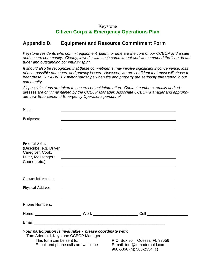# **Citizen Corps & Emergency Operations Plan**

#### **Appendix D. Equipment and Resource Commitment Form**

*Keystone residents who commit equipment, talent, or time are the core of our CCEOP and a safe and secure community. Clearly, it works with such commitment and we commend the "can do attitude" and outstanding community spirit.*

*It should also be recognized that these commitments may involve significant inconvenience, loss of use, possible damages, and privacy issues. However, we are confident that most will chose to bear these RELATIVELY minor hardships when life and property are seriously threatened in our community.*

*All possible steps are taken to secure contact information. Contact numbers, emails and addresses are only maintained by the CCEOP Manager, Associate CCEOP Manager and appropriate Law Enforcement / Emergency Operations personnel.*

| Name                                |                                                                                                    |                                                                                           |  |
|-------------------------------------|----------------------------------------------------------------------------------------------------|-------------------------------------------------------------------------------------------|--|
| Equipment                           |                                                                                                    | ,我们也不会有什么。""我们的人,我们也不会有什么?""我们的人,我们也不会有什么?""我们的人,我们也不会有什么?""我们的人,我们也不会有什么?""我们的人          |  |
|                                     |                                                                                                    |                                                                                           |  |
|                                     |                                                                                                    |                                                                                           |  |
| Personal Skills<br>Caregiver, Cook, |                                                                                                    |                                                                                           |  |
| Diver, Messenger/<br>Courier, etc.) |                                                                                                    | <u> 1980 - Johann Barnett, fransk politik (d. 1980)</u>                                   |  |
|                                     |                                                                                                    |                                                                                           |  |
| <b>Contact Information</b>          |                                                                                                    |                                                                                           |  |
| <b>Physical Address</b>             |                                                                                                    | <u> 1989 - Johann Stoff, fransk politiker (d. 1989)</u>                                   |  |
| <b>Phone Numbers:</b>               |                                                                                                    |                                                                                           |  |
|                                     |                                                                                                    |                                                                                           |  |
|                                     |                                                                                                    |                                                                                           |  |
|                                     | Your participation is invaluable - please coordinate with:<br>Tom Aderhold, Keystone CCEOP Manager |                                                                                           |  |
| This form can be sent to:           | E-mail and phone calls are welcome                                                                 | P.O. Box 95 Odessa, FL 33556<br>E-mail: tom@tomaderhold.com<br>968-6866 (h); 505-2334 (c) |  |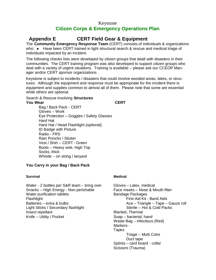# **Appendix E CERT Field Gear & Equipment**

The **Community Emergency Response Team** (CERT) consists of individuals & organizations who:  $\bullet$  Have been CERT trained in light structural search & rescue and medical triage of individuals impacted by an incident.

The following checks lists were developed by citizen groups that dealt with disasters in their communities. The CERT training program was also developed to support citizen groups who deal with a variety of urgent situations. Training is available – please ask our CCEOP Manager and/or CERT sponsor organizations .

Keystone is subject to incidents / disasters that could involve wooded areas, lakes, or structures. Although the equipment and response must be appropriate for the incident there is equipment and supplies common to almost all of them. Please note that some are essential while others are optional.

Search & Rescue involving **Structures You Wear CERT**

Bag / Back Pack - CERT Gloves – Work Eye Protection – Goggles / Safety Glasses Hard Hat Hard Hat / Head Flashlight (optional) ID Badge with Picture Radio - FRS Rain Poncho / Slicker Vest / Shirt – CERT - Green Boots – Heavy sole, High Top Socks, thick Whistle – on string / lanyard

#### **You Carry in your Bag / Back Pack**

#### **Survival**

Water - 2 bottles per S&R team – bring own Snacks – High Energy - Non-perishable Water purification tablets Flashlight Batteries – extra & bulbs Light Sticks / Secondary flashlight Insect repellant Knife – Utility / Pocket

#### **Medical**

Gloves – Latex, medical Face masks – Nose & Mouth filter Bandage Packages First Aid Kit - Band Aids Ace – Triangle – Tape – Gauze roll Sterile – Hot & Cold Packs Blanket, Thermal Soap – bacterial, hand Waste Bag – infectious (Red) Markers - **Tapes** Triage – Multi Color Duct tape Splints – card board - collar Scissors (Trauma)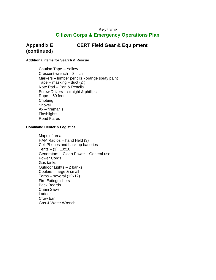# **Appendix E CERT Field Gear & Equipment**

#### **Additional items for Search & Rescue**

**(continued)**

Caution Tape – Yellow Crescent wrench – 8 inch Markers – lumber pencils - orange spray paint Tape – masking – duct  $(2<sup>n</sup>)$ Note Pad – Pen & Pencils Screw Drivers – straight & phillips Rope – 50 feet **Cribbing** Shovel Ax – fireman's **Flashlights** Road Flares

#### **Command Center & Logistics**

Maps of area HAM Radios – hand Held (3) Cell Phones and back up batteries Tents –  $(3)$  10x10 Generators – Clean Power – General use Power Cords Gas tanks Outdoor Lights – 2 banks Coolers – large & small Tarps – several (12x12) Fire Extinguishers Back Boards Chain Saws Ladder Crow bar Gas & Water Wrench